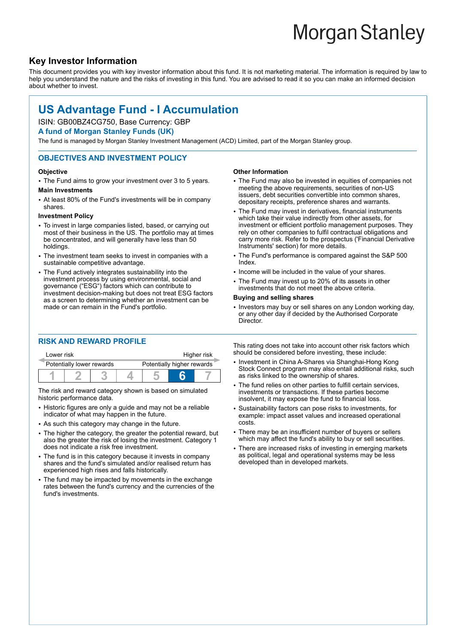# **Morgan Stanley**

# **Key Investor Information**

This document provides you with key investor information about this fund. It is not marketing material. The information is required by law to help you understand the nature and the risks of investing in this fund. You are advised to read it so you can make an informed decision about whether to invest.

# **US Advantage Fund - I Accumulation**

## ISIN: GB00BZ4CG750, Base Currency: GBP

**A fund of Morgan Stanley Funds (UK)**

The fund is managed by Morgan Stanley Investment Management (ACD) Limited, part of the Morgan Stanley group.

### **OBJECTIVES AND INVESTMENT POLICY**

#### **Objective**

• The Fund aims to grow your investment over 3 to 5 years.

#### **Main Investments**

• At least 80% of the Fund's investments will be in company shares.

#### **Investment Policy**

- To invest in large companies listed, based, or carrying out most of their business in the US. The portfolio may at times be concentrated, and will generally have less than 50 holdings.
- The investment team seeks to invest in companies with a sustainable competitive advantage.
- The Fund actively integrates sustainability into the investment process by using environmental, social and governance ("ESG") factors which can contribute to investment decision-making but does not treat ESG factors as a screen to determining whether an investment can be made or can remain in the Fund's portfolio.

#### **RISK AND REWARD PROFILE**

| Lower risk                |  |  | Higher risk                |  |  |
|---------------------------|--|--|----------------------------|--|--|
| Potentially lower rewards |  |  | Potentially higher rewards |  |  |
|                           |  |  |                            |  |  |

The risk and reward category shown is based on simulated historic performance data.

- Historic figures are only a guide and may not be a reliable indicator of what may happen in the future.
- As such this category may change in the future.
- The higher the category, the greater the potential reward, but also the greater the risk of losing the investment. Category 1 does not indicate a risk free investment.
- The fund is in this category because it invests in company shares and the fund's simulated and/or realised return has experienced high rises and falls historically.
- The fund may be impacted by movements in the exchange rates between the fund's currency and the currencies of the fund's investments.

#### **Other Information**

- The Fund may also be invested in equities of companies not meeting the above requirements, securities of non-US issuers, debt securities convertible into common shares, depositary receipts, preference shares and warrants.
- The Fund may invest in derivatives, financial instruments which take their value indirectly from other assets, for investment or efficient portfolio management purposes. They rely on other companies to fulfil contractual obligations and carry more risk. Refer to the prospectus ('Financial Derivative Instruments' section) for more details.
- The Fund's performance is compared against the S&P 500 Index.
- Income will be included in the value of your shares.
- The Fund may invest up to 20% of its assets in other investments that do not meet the above criteria.

#### **Buying and selling shares**

• Investors may buy or sell shares on any London working day. or any other day if decided by the Authorised Corporate Director.

This rating does not take into account other risk factors which should be considered before investing, these include:

- Investment in China A-Shares via Shanghai-Hong Kong Stock Connect program may also entail additional risks, such as risks linked to the ownership of shares.
- The fund relies on other parties to fulfill certain services, investments or transactions. If these parties become insolvent, it may expose the fund to financial loss.
- 2 Sustainability factors can pose risks to investments, for example: impact asset values and increased operational costs.
- There may be an insufficient number of buyers or sellers which may affect the fund's ability to buy or sell securities.
- There are increased risks of investing in emerging markets as political, legal and operational systems may be less developed than in developed markets.